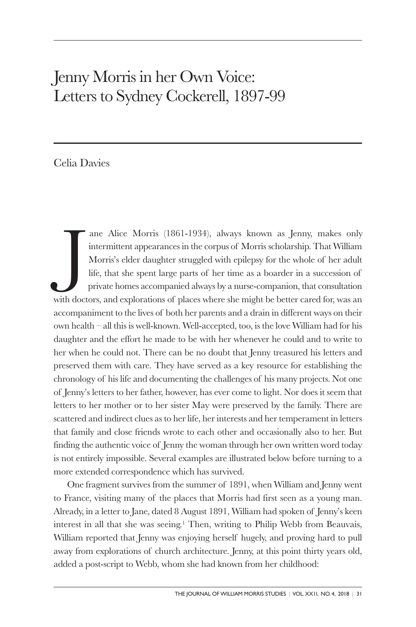## Jenny Morris in her Own Voice: Letters to Sydney Cockerell, 1897-99

## Celia Davies

J ane Alice Morris (1861-1934), always known as Jenny, makes only intermittent appearances in the corpus of Morris scholarship. That William Morris's elder daughter struggled with epilepsy for the whole of her adult life, that she spent large parts of her time as a boarder in a succession of private homes accompanied always by a nurse-companion, that consultation with doctors, and explorations of places where she might be better cared for, was an accompaniment to the lives of both her parents and a drain in different ways on their own health – all this is well-known. Well-accepted, too, is the love William had for his daughter and the effort he made to be with her whenever he could and to write to her when he could not. There can be no doubt that Jenny treasured his letters and preserved them with care. They have served as a key resource for establishing the chronology of his life and documenting the challenges of his many projects. Not one of Jenny's letters to her father, however, has ever come to light. Nor does it seem that letters to her mother or to her sister May were preserved by the family. There are scattered and indirect clues as to her life, her interests and her temperament in letters that family and close friends wrote to each other and occasionally also to her. But finding the authentic voice of Jenny the woman through her own written word today is not entirely impossible. Several examples are illustrated below before turning to a more extended correspondence which has survived.

One fragment survives from the summer of 1891, when William and Jenny went to France, visiting many of the places that Morris had first seen as a young man. Already, in a letter to Jane, dated 8 August 1891, William had spoken of Jenny's keen interest in all that she was seeing. <sup>1</sup> Then, writing to Philip Webb from Beauvais, William reported that Jenny was enjoying herself hugely, and proving hard to pull away from explorations of church architecture. Jenny, at this point thirty years old, added a post-script to Webb, whom she had known from her childhood: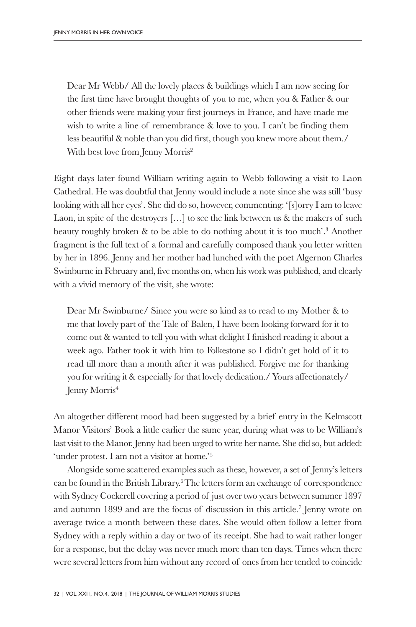Dear Mr Webb/ All the lovely places & buildings which I am now seeing for the first time have brought thoughts of you to me, when you & Father & our other friends were making your first journeys in France, and have made me wish to write a line of remembrance & love to you. I can't be finding them less beautiful & noble than you did first, though you knew more about them./ With best love from Jenny Morris<sup>2</sup>

Eight days later found William writing again to Webb following a visit to Laon Cathedral. He was doubtful that Jenny would include a note since she was still 'busy looking with all her eyes'. She did do so, however, commenting: '[s]orry I am to leave Laon, in spite of the destroyers […] to see the link between us & the makers of such beauty roughly broken & to be able to do nothing about it is too much'. <sup>3</sup> Another fragment is the full text of a formal and carefully composed thank you letter written by her in 1896. Jenny and her mother had lunched with the poet Algernon Charles Swinburne in February and, five months on, when his work was published, and clearly with a vivid memory of the visit, she wrote:

Dear Mr Swinburne/ Since you were so kind as to read to my Mother & to me that lovely part of the Tale of Balen, I have been looking forward for it to come out & wanted to tell you with what delight I finished reading it about a week ago. Father took it with him to Folkestone so I didn't get hold of it to read till more than a month after it was published. Forgive me for thanking you for writing it & especially for that lovely dedication./ Yours affectionately/ Jenny Morris<sup>4</sup>

An altogether different mood had been suggested by a brief entry in the Kelmscott Manor Visitors' Book a little earlier the same year, during what was to be William's last visit to the Manor. Jenny had been urged to write her name. She did so, but added: 'under protest. I am not a visitor at home.' 5

Alongside some scattered examples such as these, however, a set of Jenny's letters can be found in the British Library. 6The letters form an exchange of correspondence with Sydney Cockerell covering a period of just over two years between summer 1897 and autumn 1899 and are the focus of discussion in this article. <sup>7</sup> Jenny wrote on average twice a month between these dates. She would often follow a letter from Sydney with a reply within a day or two of its receipt. She had to wait rather longer for a response, but the delay was never much more than ten days. Times when there were several letters from him without any record of ones from her tended to coincide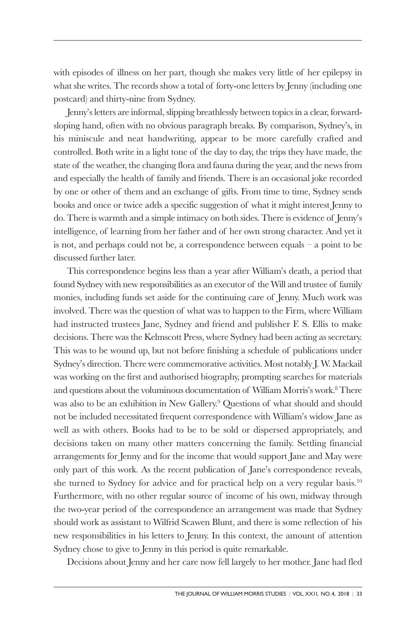with episodes of illness on her part, though she makes very little of her epilepsy in what she writes. The records show a total of forty-one letters by Jenny (including one postcard) and thirty-nine from Sydney.

Jenny's letters are informal, slipping breathlessly between topics in a clear, forwardsloping hand, often with no obvious paragraph breaks. By comparison, Sydney's, in his miniscule and neat handwriting, appear to be more carefully crafted and controlled. Both write in a light tone of the day to day, the trips they have made, the state of the weather, the changing flora and fauna during the year, and the news from and especially the health of family and friends. There is an occasional joke recorded by one or other of them and an exchange of gifts. From time to time, Sydney sends books and once or twice adds a specific suggestion of what it might interest Jenny to do. There is warmth and a simple intimacy on both sides. There is evidence of Jenny's intelligence, of learning from her father and of her own strong character. And yet it is not, and perhaps could not be, a correspondence between equals – a point to be discussed further later.

This correspondence begins less than a year after William's death, a period that found Sydney with new responsibilities as an executor of the Will and trustee of family monies, including funds set aside for the continuing care of Jenny. Much work was involved. There was the question of what was to happen to the Firm, where William had instructed trustees Jane, Sydney and friend and publisher F. S. Ellis to make decisions. There was the Kelmscott Press, where Sydney had been acting as secretary. This was to be wound up, but not before finishing a schedule of publications under Sydney's direction. There were commemorative activities. Most notably J. W. Mackail was working on the first and authorised biography, prompting searches for materials and questions about the voluminous documentation of William Morris's work. <sup>8</sup> There was also to be an exhibition in New Gallery. <sup>9</sup> Questions of what should and should not be included necessitated frequent correspondence with William's widow Jane as well as with others. Books had to be to be sold or dispersed appropriately, and decisions taken on many other matters concerning the family. Settling financial arrangements for Jenny and for the income that would support Jane and May were only part of this work. As the recent publication of Jane's correspondence reveals, she turned to Sydney for advice and for practical help on a very regular basis. 10 Furthermore, with no other regular source of income of his own, midway through the two-year period of the correspondence an arrangement was made that Sydney should work as assistant to Wilfrid Scawen Blunt, and there is some reflection of his new responsibilities in his letters to Jenny. In this context, the amount of attention Sydney chose to give to Jenny in this period is quite remarkable.

Decisions about Jenny and her care now fell largely to her mother. Jane had fled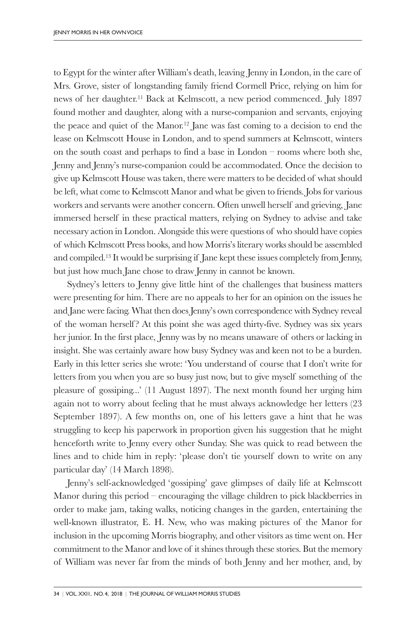to Egypt for the winter after William's death, leaving Jenny in London, in the care of Mrs. Grove, sister of longstanding family friend Cormell Price, relying on him for news of her daughter. <sup>11</sup> Back at Kelmscott, a new period commenced. July 1897 found mother and daughter, along with a nurse-companion and servants, enjoying the peace and quiet of the Manor. <sup>12</sup> Jane was fast coming to a decision to end the lease on Kelmscott House in London, and to spend summers at Kelmscott, winters on the south coast and perhaps to find a base in London – rooms where both she, Jenny and Jenny's nurse-companion could be accommodated. Once the decision to give up Kelmscott House was taken, there were matters to be decided of what should be left, what come to Kelmscott Manor and what be given to friends. Jobs for various workers and servants were another concern. Often unwell herself and grieving, Jane immersed herself in these practical matters, relying on Sydney to advise and take necessary action in London. Alongside this were questions of who should have copies of which Kelmscott Press books, and how Morris's literary works should be assembled and compiled. <sup>13</sup> It would be surprising if Jane kept these issues completely from Jenny, but just how much Jane chose to draw Jenny in cannot be known.

Sydney's letters to Jenny give little hint of the challenges that business matters were presenting for him. There are no appeals to her for an opinion on the issues he and Jane were facing. What then does Jenny's own correspondence with Sydney reveal of the woman herself? At this point she was aged thirty-five. Sydney was six years her junior. In the first place, Jenny was by no means unaware of others or lacking in insight. She was certainly aware how busy Sydney was and keen not to be a burden. Early in this letter series she wrote: 'You understand of course that I don't write for letters from you when you are so busy just now, but to give myself something of the pleasure of gossiping...' (11 August 1897). The next month found her urging him again not to worry about feeling that he must always acknowledge her letters (23 September 1897). A few months on, one of his letters gave a hint that he was struggling to keep his paperwork in proportion given his suggestion that he might henceforth write to Jenny every other Sunday. She was quick to read between the lines and to chide him in reply: 'please don't tie yourself down to write on any particular day' (14 March 1898).

Jenny's self-acknowledged 'gossiping' gave glimpses of daily life at Kelmscott Manor during this period – encouraging the village children to pick blackberries in order to make jam, taking walks, noticing changes in the garden, entertaining the well-known illustrator, E. H. New, who was making pictures of the Manor for inclusion in the upcoming Morris biography, and other visitors as time went on. Her commitment to the Manor and love of it shines through these stories. But the memory of William was never far from the minds of both Jenny and her mother, and, by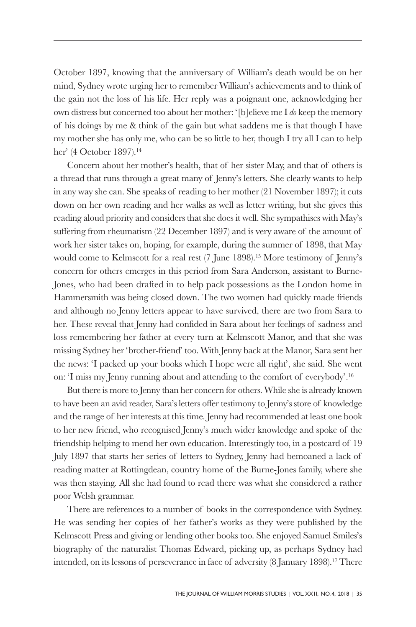October 1897, knowing that the anniversary of William's death would be on her mind, Sydney wrote urging her to remember William's achievements and to think of the gain not the loss of his life. Her reply was a poignant one, acknowledging her own distress but concerned too about her mother: '[b]elieve me I *do* keep the memory of his doings by me & think of the gain but what saddens me is that though I have my mother she has only me, who can be so little to her, though I try all I can to help her' (4 October 1897). 14

Concern about her mother's health, that of her sister May, and that of others is a thread that runs through a great many of Jenny's letters. She clearly wants to help in any way she can. She speaks of reading to her mother (21 November 1897); it cuts down on her own reading and her walks as well as letter writing, but she gives this reading aloud priority and considers that she does it well. She sympathises with May's suffering from rheumatism (22 December 1897) and is very aware of the amount of work her sister takes on, hoping, for example, during the summer of 1898, that May would come to Kelmscott for a real rest (7 June 1898). <sup>15</sup> More testimony of Jenny's concern for others emerges in this period from Sara Anderson, assistant to Burne-Jones, who had been drafted in to help pack possessions as the London home in Hammersmith was being closed down. The two women had quickly made friends and although no Jenny letters appear to have survived, there are two from Sara to her. These reveal that Jenny had confided in Sara about her feelings of sadness and loss remembering her father at every turn at Kelmscott Manor, and that she was missing Sydney her 'brother-friend' too. With Jenny back at the Manor, Sara sent her the news: 'I packed up your books which I hope were all right', she said. She went on: 'I miss my Jenny running about and attending to the comfort of everybody'. 16

But there is more to Jenny than her concern for others. While she is already known to have been an avid reader, Sara's letters offer testimony to Jenny's store of knowledge and the range of her interests at this time. Jenny had recommended at least one book to her new friend, who recognised Jenny's much wider knowledge and spoke of the friendship helping to mend her own education. Interestingly too, in a postcard of 19 July 1897 that starts her series of letters to Sydney, Jenny had bemoaned a lack of reading matter at Rottingdean, country home of the Burne-Jones family, where she was then staying. All she had found to read there was what she considered a rather poor Welsh grammar.

There are references to a number of books in the correspondence with Sydney. He was sending her copies of her father's works as they were published by the Kelmscott Press and giving or lending other books too. She enjoyed Samuel Smiles's biography of the naturalist Thomas Edward, picking up, as perhaps Sydney had intended, on its lessons of perseverance in face of adversity (8 January 1898). <sup>17</sup> There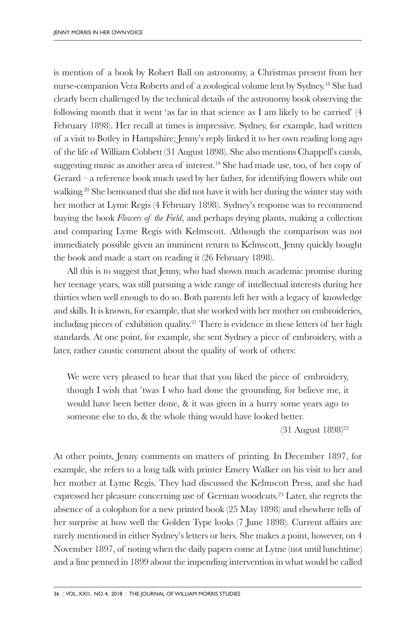is mention of a book by Robert Ball on astronomy, a Christmas present from her nurse-companion Vera Roberts and of a zoological volume lent by Sydney. <sup>18</sup> She had clearly been challenged by the technical details of the astronomy book observing the following month that it went 'as far in that science as I am likely to be carried' (4 February 1898). Her recall at times is impressive. Sydney, for example, had written of a visit to Botley in Hampshire; Jenny's reply linked it to her own reading long ago of the life of William Cobbett (31 August 1898). She also mentions Chappell's carols, suggesting music as another area of interest. <sup>19</sup> She had made use, too, of her copy of Gerard – a reference book much used by her father, for identifying flowers while out walking. <sup>20</sup> She bemoaned that she did not have it with her during the winter stay with her mother at Lyme Regis (4 February 1898). Sydney's response was to recommend buying the book *Flowers of the Field*, and perhaps drying plants, making a collection and comparing Lyme Regis with Kelmscott. Although the comparison was not immediately possible given an imminent return to Kelmscott, Jenny quickly bought the book and made a start on reading it (26 February 1898).

All this is to suggest that Jenny, who had shown much academic promise during her teenage years, was still pursuing a wide range of intellectual interests during her thirties when well enough to do so. Both parents left her with a legacy of knowledge and skills. It is known, for example, that she worked with her mother on embroideries, including pieces of exhibition quality. <sup>21</sup> There is evidence in these letters of her high standards. At one point, for example, she sent Sydney a piece of embroidery, with a later, rather caustic comment about the quality of work of others:

We were very pleased to hear that that you liked the piece of embroidery, though I wish that 'twas I who had done the grounding, for believe me, it would have been better done, & it was given in a hurry some years ago to someone else to do, & the whole thing would have looked better.

(31 August 1898) 22

At other points, Jenny comments on matters of printing. In December 1897, for example, she refers to a long talk with printer Emery Walker on his visit to her and her mother at Lyme Regis. They had discussed the Kelmscott Press, and she had expressed her pleasure concerning use of German woodcuts. <sup>23</sup> Later, she regrets the absence of a colophon for a new printed book (25 May 1898) and elsewhere tells of her surprise at how well the Golden Type looks (7 June 1898). Current affairs are rarely mentioned in either Sydney's letters or hers. She makes a point, however, on 4 November 1897, of noting when the daily papers come at Lyme (not until lunchtime) and a line penned in 1899 about the impending intervention in what would be called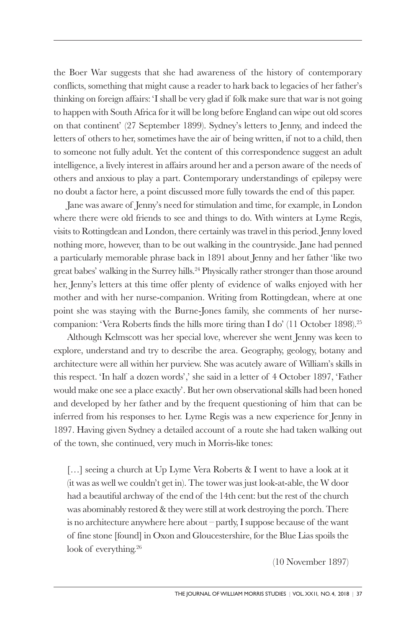the Boer War suggests that she had awareness of the history of contemporary conflicts, something that might cause a reader to hark back to legacies of her father's thinking on foreign affairs: 'I shall be very glad if folk make sure that war is not going to happen with South Africa for it will be long before England can wipe out old scores on that continent' (27 September 1899). Sydney's letters to Jenny, and indeed the letters of others to her, sometimes have the air of being written, if not to a child, then to someone not fully adult. Yet the content of this correspondence suggest an adult intelligence, a lively interest in affairs around her and a person aware of the needs of others and anxious to play a part. Contemporary understandings of epilepsy were no doubt a factor here, a point discussed more fully towards the end of this paper.

Jane was aware of Jenny's need for stimulation and time, for example, in London where there were old friends to see and things to do. With winters at Lyme Regis, visits to Rottingdean and London, there certainly was travel in this period. Jenny loved nothing more, however, than to be out walking in the countryside. Jane had penned a particularly memorable phrase back in 1891 about Jenny and her father 'like two great babes' walking in the Surrey hills. <sup>24</sup> Physically rather stronger than those around her, Jenny's letters at this time offer plenty of evidence of walks enjoyed with her mother and with her nurse-companion. Writing from Rottingdean, where at one point she was staying with the Burne-Jones family, she comments of her nursecompanion: 'Vera Roberts finds the hills more tiring than I do' (11 October 1898). 25

Although Kelmscott was her special love, wherever she went Jenny was keen to explore, understand and try to describe the area. Geography, geology, botany and architecture were all within her purview. She was acutely aware of William's skills in this respect. 'In half a dozen words',' she said in a letter of 4 October 1897, 'Father would make one see a place exactly'. But her own observational skills had been honed and developed by her father and by the frequent questioning of him that can be inferred from his responses to her. Lyme Regis was a new experience for Jenny in 1897. Having given Sydney a detailed account of a route she had taken walking out of the town, she continued, very much in Morris-like tones:

[...] seeing a church at Up Lyme Vera Roberts & I went to have a look at it (it was as well we couldn't get in). The tower was just look-at-able, the W door had a beautiful archway of the end of the 14th cent: but the rest of the church was abominably restored & they were still at work destroying the porch. There is no architecture anywhere here about – partly, I suppose because of the want of fine stone [found] in Oxon and Gloucestershire, for the Blue Lias spoils the look of everything. 26

(10 November 1897)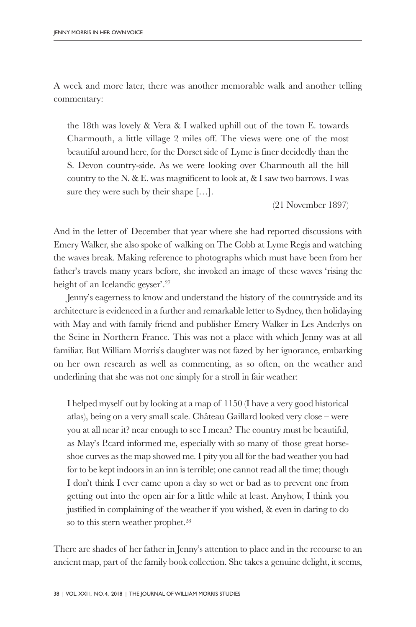A week and more later, there was another memorable walk and another telling commentary:

the 18th was lovely & Vera & I walked uphill out of the town E. towards Charmouth, a little village 2 miles off. The views were one of the most beautiful around here, for the Dorset side of Lyme is finer decidedly than the S. Devon country-side. As we were looking over Charmouth all the hill country to the N. & E. was magnificent to look at, & I saw two barrows. I was sure they were such by their shape […].

(21 November 1897)

And in the letter of December that year where she had reported discussions with Emery Walker, she also spoke of walking on The Cobb at Lyme Regis and watching the waves break. Making reference to photographs which must have been from her father's travels many years before, she invoked an image of these waves 'rising the height of an Icelandic geyser'. 27

Jenny's eagerness to know and understand the history of the countryside and its architecture is evidenced in a further and remarkable letter to Sydney, then holidaying with May and with family friend and publisher Emery Walker in Les Anderlys on the Seine in Northern France. This was not a place with which Jenny was at all familiar. But William Morris's daughter was not fazed by her ignorance, embarking on her own research as well as commenting, as so often, on the weather and underlining that she was not one simply for a stroll in fair weather:

I helped myself out by looking at a map of 1150 (I have a very good historical atlas), being on a very small scale. Château Gaillard looked very close – were you at all near it? near enough to see I mean? The country must be beautiful, as May's P.card informed me, especially with so many of those great horseshoe curves as the map showed me. I pity you all for the bad weather you had for to be kept indoors in an inn is terrible; one cannot read all the time; though I don't think I ever came upon a day so wet or bad as to prevent one from getting out into the open air for a little while at least. Anyhow, I think you justified in complaining of the weather if you wished, & even in daring to do so to this stern weather prophet. 28

There are shades of her father in Jenny's attention to place and in the recourse to an ancient map, part of the family book collection. She takes a genuine delight, it seems,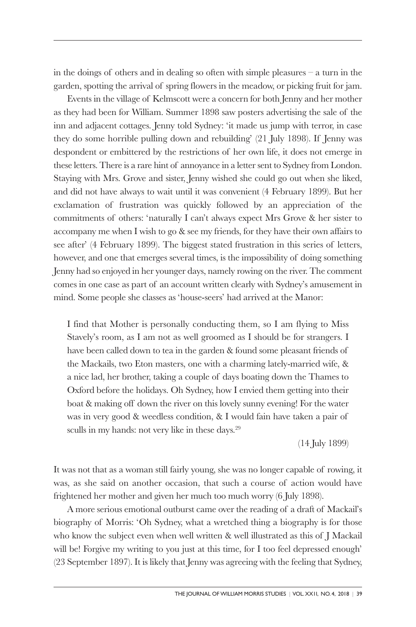in the doings of others and in dealing so often with simple pleasures – a turn in the garden, spotting the arrival of spring flowers in the meadow, or picking fruit for jam.

Events in the village of Kelmscott were a concern for both Jenny and her mother as they had been for William. Summer 1898 saw posters advertising the sale of the inn and adjacent cottages. Jenny told Sydney: 'it made us jump with terror, in case they do some horrible pulling down and rebuilding' (21 July 1898). If Jenny was despondent or embittered by the restrictions of her own life, it does not emerge in these letters. There is a rare hint of annoyance in a letter sent to Sydney from London. Staying with Mrs. Grove and sister, Jenny wished she could go out when she liked, and did not have always to wait until it was convenient (4 February 1899). But her exclamation of frustration was quickly followed by an appreciation of the commitments of others: 'naturally I can't always expect Mrs Grove & her sister to accompany me when I wish to go & see my friends, for they have their own affairs to see after' (4 February 1899). The biggest stated frustration in this series of letters, however, and one that emerges several times, is the impossibility of doing something Jenny had so enjoyed in her younger days, namely rowing on the river. The comment comes in one case as part of an account written clearly with Sydney's amusement in mind. Some people she classes as 'house-seers' had arrived at the Manor:

I find that Mother is personally conducting them, so I am flying to Miss Stavely's room, as I am not as well groomed as I should be for strangers. I have been called down to tea in the garden & found some pleasant friends of the Mackails, two Eton masters, one with a charming lately-married wife, & a nice lad, her brother, taking a couple of days boating down the Thames to Oxford before the holidays. Oh Sydney, how I envied them getting into their boat & making off down the river on this lovely sunny evening! For the water was in very good & weedless condition, & I would fain have taken a pair of sculls in my hands: not very like in these days. 29

(14 July 1899)

It was not that as a woman still fairly young, she was no longer capable of rowing, it was, as she said on another occasion, that such a course of action would have frightened her mother and given her much too much worry (6 July 1898).

A more serious emotional outburst came over the reading of a draft of Mackail's biography of Morris: 'Oh Sydney, what a wretched thing a biography is for those who know the subject even when well written & well illustrated as this of J Mackail will be! Forgive my writing to you just at this time, for I too feel depressed enough' (23 September 1897). It is likely that Jenny was agreeing with the feeling that Sydney,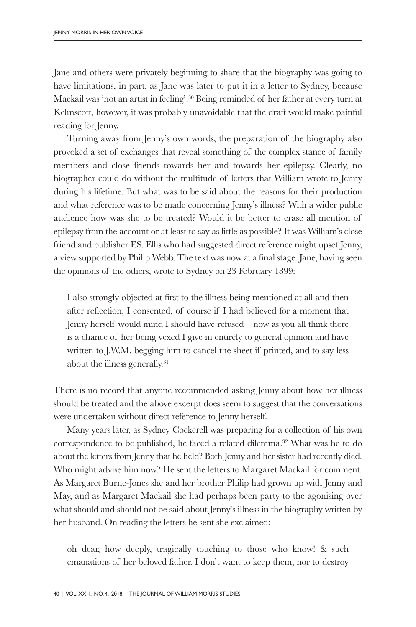Jane and others were privately beginning to share that the biography was going to have limitations, in part, as Jane was later to put it in a letter to Sydney, because Mackail was 'not an artist in feeling'. <sup>30</sup> Being reminded of her father at every turn at Kelmscott, however, it was probably unavoidable that the draft would make painful reading for Jenny.

Turning away from Jenny's own words, the preparation of the biography also provoked a set of exchanges that reveal something of the complex stance of family members and close friends towards her and towards her epilepsy. Clearly, no biographer could do without the multitude of letters that William wrote to Jenny during his lifetime. But what was to be said about the reasons for their production and what reference was to be made concerning Jenny's illness? With a wider public audience how was she to be treated? Would it be better to erase all mention of epilepsy from the account or at least to say as little as possible? It was William's close friend and publisher F.S. Ellis who had suggested direct reference might upset Jenny, a view supported by Philip Webb. The text was now at a final stage. Jane, having seen the opinions of the others, wrote to Sydney on 23 February 1899:

I also strongly objected at first to the illness being mentioned at all and then after reflection, I consented, of course if I had believed for a moment that Jenny herself would mind I should have refused – now as you all think there is a chance of her being vexed I give in entirely to general opinion and have written to J.W.M. begging him to cancel the sheet if printed, and to say less about the illness generally. 31

There is no record that anyone recommended asking Jenny about how her illness should be treated and the above excerpt does seem to suggest that the conversations were undertaken without direct reference to Jenny herself.

Many years later, as Sydney Cockerell was preparing for a collection of his own correspondence to be published, he faced a related dilemma. <sup>32</sup> What was he to do about the letters from Jenny that he held? Both Jenny and her sister had recently died. Who might advise him now? He sent the letters to Margaret Mackail for comment. As Margaret Burne-Jones she and her brother Philip had grown up with Jenny and May, and as Margaret Mackail she had perhaps been party to the agonising over what should and should not be said about Jenny's illness in the biography written by her husband. On reading the letters he sent she exclaimed:

oh dear, how deeply, tragically touching to those who know! & such emanations of her beloved father. I don't want to keep them, nor to destroy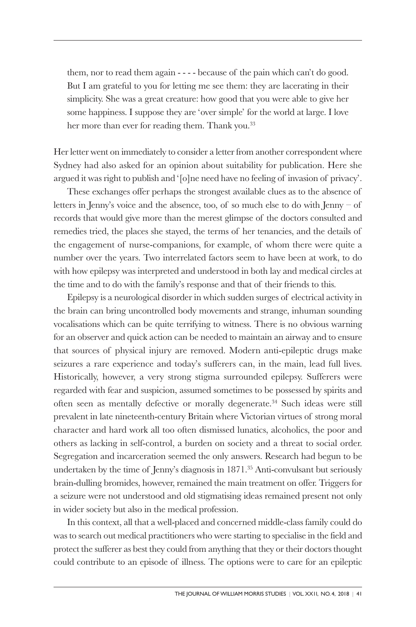them, nor to read them again - - - - because of the pain which can't do good. But I am grateful to you for letting me see them: they are lacerating in their simplicity. She was a great creature: how good that you were able to give her some happiness. I suppose they are 'over simple' for the world at large. I love her more than ever for reading them. Thank you. 33

Her letter went on immediately to consider a letter from another correspondent where Sydney had also asked for an opinion about suitability for publication. Here she argued it was right to publish and '[o]ne need have no feeling of invasion of privacy'.

These exchanges offer perhaps the strongest available clues as to the absence of letters in Jenny's voice and the absence, too, of so much else to do with Jenny – of records that would give more than the merest glimpse of the doctors consulted and remedies tried, the places she stayed, the terms of her tenancies, and the details of the engagement of nurse-companions, for example, of whom there were quite a number over the years. Two interrelated factors seem to have been at work, to do with how epilepsy was interpreted and understood in both lay and medical circles at the time and to do with the family's response and that of their friends to this.

Epilepsy is a neurological disorder in which sudden surges of electrical activity in the brain can bring uncontrolled body movements and strange, inhuman sounding vocalisations which can be quite terrifying to witness. There is no obvious warning for an observer and quick action can be needed to maintain an airway and to ensure that sources of physical injury are removed. Modern anti-epileptic drugs make seizures a rare experience and today's sufferers can, in the main, lead full lives. Historically, however, a very strong stigma surrounded epilepsy. Sufferers were regarded with fear and suspicion, assumed sometimes to be possessed by spirits and often seen as mentally defective or morally degenerate. <sup>34</sup> Such ideas were still prevalent in late nineteenth-century Britain where Victorian virtues of strong moral character and hard work all too often dismissed lunatics, alcoholics, the poor and others as lacking in self-control, a burden on society and a threat to social order. Segregation and incarceration seemed the only answers. Research had begun to be undertaken by the time of Jenny's diagnosis in 1871. <sup>35</sup> Anti-convulsant but seriously brain-dulling bromides, however, remained the main treatment on offer. Triggers for a seizure were not understood and old stigmatising ideas remained present not only in wider society but also in the medical profession.

In this context, all that a well-placed and concerned middle-class family could do was to search out medical practitioners who were starting to specialise in the field and protect the sufferer as best they could from anything that they or their doctors thought could contribute to an episode of illness. The options were to care for an epileptic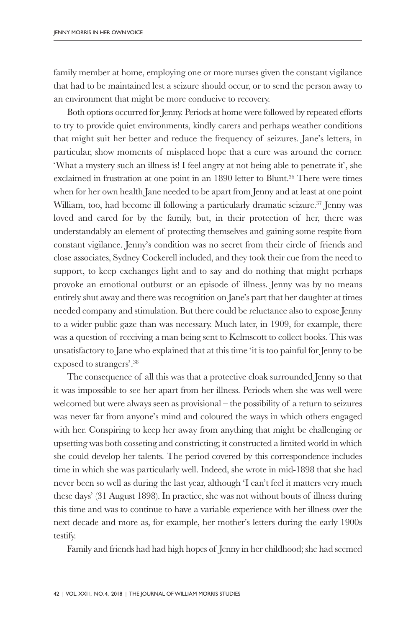family member at home, employing one or more nurses given the constant vigilance that had to be maintained lest a seizure should occur, or to send the person away to an environment that might be more conducive to recovery.

Both options occurred for Jenny. Periods at home were followed by repeated efforts to try to provide quiet environments, kindly carers and perhaps weather conditions that might suit her better and reduce the frequency of seizures. Jane's letters, in particular, show moments of misplaced hope that a cure was around the corner. 'What a mystery such an illness is! I feel angry at not being able to penetrate it', she exclaimed in frustration at one point in an 1890 letter to Blunt. <sup>36</sup> There were times when for her own health Jane needed to be apart from Jenny and at least at one point William, too, had become ill following a particularly dramatic seizure. <sup>37</sup> Jenny was loved and cared for by the family, but, in their protection of her, there was understandably an element of protecting themselves and gaining some respite from constant vigilance. Jenny's condition was no secret from their circle of friends and close associates, Sydney Cockerell included, and they took their cue from the need to support, to keep exchanges light and to say and do nothing that might perhaps provoke an emotional outburst or an episode of illness. Jenny was by no means entirely shut away and there was recognition on Jane's part that her daughter at times needed company and stimulation. But there could be reluctance also to expose Jenny to a wider public gaze than was necessary. Much later, in 1909, for example, there was a question of receiving a man being sent to Kelmscott to collect books. This was unsatisfactory to Jane who explained that at this time 'it is too painful for Jenny to be exposed to strangers'. 38

The consequence of all this was that a protective cloak surrounded Jenny so that it was impossible to see her apart from her illness. Periods when she was well were welcomed but were always seen as provisional – the possibility of a return to seizures was never far from anyone's mind and coloured the ways in which others engaged with her. Conspiring to keep her away from anything that might be challenging or upsetting was both cosseting and constricting; it constructed a limited world in which she could develop her talents. The period covered by this correspondence includes time in which she was particularly well. Indeed, she wrote in mid-1898 that she had never been so well as during the last year, although 'I can't feel it matters very much these days' (31 August 1898). In practice, she was not without bouts of illness during this time and was to continue to have a variable experience with her illness over the next decade and more as, for example, her mother's letters during the early 1900s testify.

Family and friends had had high hopes of Jenny in her childhood; she had seemed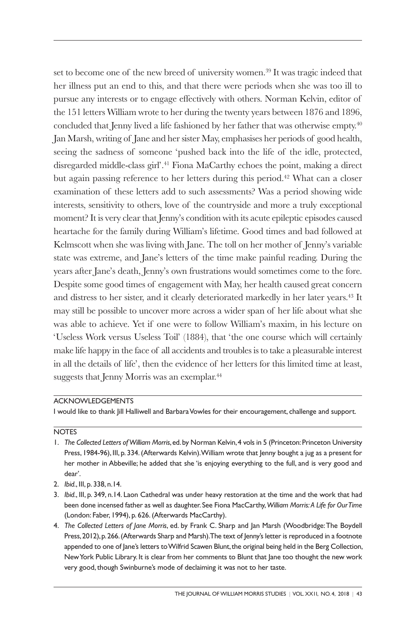set to become one of the new breed of university women. <sup>39</sup> It was tragic indeed that her illness put an end to this, and that there were periods when she was too ill to pursue any interests or to engage effectively with others. Norman Kelvin, editor of the 151 letters William wrote to her during the twenty years between 1876 and 1896, concluded that Jenny lived a life fashioned by her father that was otherwise empty. 40 Jan Marsh, writing of Jane and her sister May, emphasises her periods of good health, seeing the sadness of someone 'pushed back into the life of the idle, protected, disregarded middle-class girl'. <sup>41</sup> Fiona MaCarthy echoes the point, making a direct but again passing reference to her letters during this period. <sup>42</sup> What can a closer examination of these letters add to such assessments? Was a period showing wide interests, sensitivity to others, love of the countryside and more a truly exceptional moment? It is very clear that Jenny's condition with its acute epileptic episodes caused heartache for the family during William's lifetime. Good times and bad followed at Kelmscott when she was living with Jane. The toll on her mother of Jenny's variable state was extreme, and Jane's letters of the time make painful reading. During the years after Jane's death, Jenny's own frustrations would sometimes come to the fore. Despite some good times of engagement with May, her health caused great concern and distress to her sister, and it clearly deteriorated markedly in her later years. <sup>43</sup> It may still be possible to uncover more across a wider span of her life about what she was able to achieve. Yet if one were to follow William's maxim, in his lecture on 'Useless Work versus Useless Toil' (1884), that 'the one course which will certainly make life happy in the face of all accidents and troubles is to take a pleasurable interest in all the details of life', then the evidence of her letters for this limited time at least, suggests that Jenny Morris was an exemplar. 44

## ACKNOWLEDGEMENTS

I would like to thank Jill Halliwell and Barbara Vowles for their encouragement, challenge and support.

## **NOTES**

- 1. *The Collected Letters of William Morris*,ed.by Norman Kelvin,4 vols in 5 (Princeton:Princeton University Press, 1984-96), III, p. 334.(Afterwards Kelvin).William wrote that Jenny bought a jug as a present for her mother in Abbeville; he added that she 'is enjoying everything to the full, and is very good and dear'.
- 2. *Ibid.*, III, p. 338, n.14.
- 3. *Ibid.*, III, p. 349, n.14. Laon Cathedral was under heavy restoration at the time and the work that had been done incensed father as well as daughter. See Fiona MacCarthy,*William Morris: A Life for OurTime* (London: Faber, 1994), p. 626.(Afterwards MacCarthy).
- 4. *The Collected Letters of Jane Morris*, ed. by Frank C. Sharp and Jan Marsh (Woodbridge:The Boydell Press, 2012), p. 266. (Afterwards Sharp and Marsh). The text of Jenny's letter is reproduced in a footnote appended to one of Jane's letters to Wilfrid Scawen Blunt, the original being held in the Berg Collection, NewYork Public Library. It is clear from her comments to Blunt that Jane too thought the new work very good, though Swinburne's mode of declaiming it was not to her taste.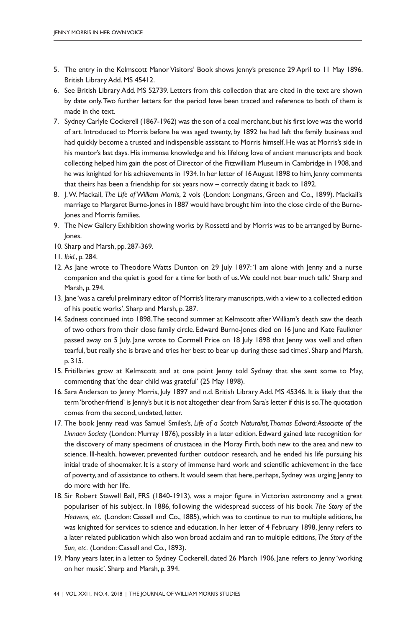- 5. The entry in the Kelmscott Manor Visitors' Book shows Jenny's presence 29 April to 11 May 1896. British Library Add. MS 45412.
- 6. See British Library Add. MS 52739. Letters from this collection that are cited in the text are shown by date only.Two further letters for the period have been traced and reference to both of them is made in the text.
- 7. Sydney Carlyle Cockerell (1867-1962) was the son of a coal merchant, but his first love was the world of art. Introduced to Morris before he was aged twenty, by 1892 he had left the family business and had quickly become a trusted and indispensible assistant to Morris himself.He was at Morris's side in his mentor's last days. His immense knowledge and his lifelong love of ancient manuscripts and book collecting helped him gain the post of Director of the Fitzwilliam Museum in Cambridge in 1908, and he was knighted for his achievements in 1934. In her letter of 16 August 1898 to him, Jenny comments that theirs has been a friendship for six years now – correctly dating it back to 1892.
- 8. J.W. Mackail, *The Life of William Morris*, 2 vols (London: Longmans, Green and Co., 1899). Mackail's marriage to Margaret Burne-Jones in 1887 would have brought him into the close circle of the Burne-Jones and Morris families.
- 9. The New Gallery Exhibition showing works by Rossetti and by Morris was to be arranged by Burnelones.
- 10. Sharp and Marsh, pp. 287-369.
- 11. *Ibid.*, p. 284.
- 12. As Jane wrote to Theodore Watts Dunton on 29 July 1897: 'I am alone with Jenny and a nurse companion and the quiet is good for a time for both of us.We could not bear much talk.' Sharp and Marsh, p. 294.
- 13. Jane'was a careful preliminary editor of Morris's literary manuscripts,with a view to a collected edition of his poetic works'. Sharp and Marsh, p. 287.
- 14. Sadness continued into 1898.The second summer at Kelmscott afterWilliam's death saw the death of two others from their close family circle. Edward Burne-Jones died on 16 June and Kate Faulkner passed away on 5 July. Jane wrote to Cormell Price on 18 July 1898 that Jenny was well and often tearful,'but really she is brave and tries her best to bear up during these sad times'. Sharp and Marsh, p. 315.
- 15. Fritillaries grow at Kelmscott and at one point Jenny told Sydney that she sent some to May, commenting that'the dear child was grateful' (25 May 1898).
- 16. Sara Anderson to Jenny Morris, July 1897 and n.d. British Library Add. MS 45346. It is likely that the term'brother-friend' is Jenny's but it is not altogether clear from Sara's letter if this is so.The quotation comes from the second, undated, letter.
- 17. The book Jenny read was Samuel Smiles's, *Life of a Scotch Naturalist,Thomas Edward: Associate of the Linnaen Society* (London: Murray 1876), possibly in a later edition. Edward gained late recognition for the discovery of many specimens of crustacea in the Moray Firth, both new to the area and new to science. Ill-health, however, prevented further outdoor research, and he ended his life pursuing his initial trade of shoemaker. It is a story of immense hard work and scientific achievement in the face of poverty, and of assistance to others. It would seem that here, perhaps, Sydney was urging Jenny to do more with her life.
- 18. Sir Robert Stawell Ball, FRS (1840-1913), was a major figure in Victorian astronomy and a great populariser of his subject. In 1886, following the widespread success of his book *The Story of the Heavens, etc.* (London: Cassell and Co., 1885), which was to continue to run to multiple editions, he was knighted for services to science and education. In her letter of 4 February 1898, Jenny refers to a later related publication which also won broad acclaim and ran to multiple editions, *The Story of the Sun, etc.* (London: Cassell and Co., 1893).
- 19. Many years later, in a letter to Sydney Cockerell, dated 26 March 1906, Jane refers to Jenny 'working on her music'. Sharp and Marsh, p. 394.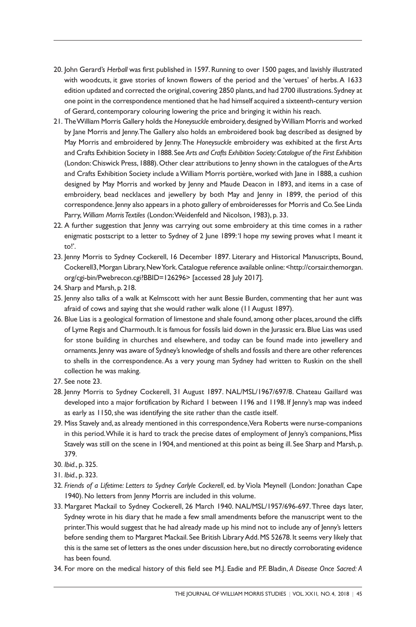- 20. John Gerard's *Herball* was first published in 1597.Running to over 1500 pages, and lavishly illustrated with woodcuts, it gave stories of known flowers of the period and the 'vertues' of herbs.A 1633 edition updated and corrected the original, covering 2850 plants, and had 2700 illustrations. Sydney at one point in the correspondence mentioned that he had himself acquired a sixteenth-century version of Gerard, contemporary colouring lowering the price and bringing it within his reach.
- 21. TheWilliam Morris Gallery holds the *Honeysuckle* embroidery,designed byWilliam Morris and worked by Jane Morris and Jenny.The Gallery also holds an embroidered book bag described as designed by May Morris and embroidered by Jenny.The *Honeysuckle* embroidery was exhibited at the first Arts and Crafts Exhibition Society in 1888.See *Arts and Crafts Exhibition Society:Catalogue of the First Exhibition* (London: Chiswick Press, 1888). Other clear attributions to Jenny shown in the catalogues of the Arts and Crafts Exhibition Society include aWilliam Morris portière, worked with Jane in 1888, a cushion designed by May Morris and worked by Jenny and Maude Deacon in 1893, and items in a case of embroidery, bead necklaces and jewellery by both May and Jenny in 1899, the period of this correspondence.Jenny also appears in a photo gallery of embroideresses for Morris and Co.See Linda Parry, William Morris Textiles (London: Weidenfeld and Nicolson, 1983), p. 33.
- 22. A further suggestion that Jenny was carrying out some embroidery at this time comes in a rather enigmatic postscript to a letter to Sydney of 2 June 1899:'I hope my sewing proves what I meant it to!'.
- 23. Jenny Morris to Sydney Cockerell, 16 December 1897. Literary and Historical Manuscripts, Bound, Cockerell3,Morgan Library,NewYork.Catalogue reference available online:<http://corsair.themorgan. org/cgi-bin/Pwebrecon.cgi?BBID=126296> [accessed 28 July 2017].
- 24. Sharp and Marsh, p. 218.
- 25. Jenny also talks of a walk at Kelmscott with her aunt Bessie Burden, commenting that her aunt was afraid of cows and saying that she would rather walk alone (11 August 1897).
- 26. Blue Lias is a geological formation of limestone and shale found, among other places, around the cliffs of Lyme Regis and Charmouth. It is famous for fossils laid down in the Jurassic era.Blue Lias was used for stone building in churches and elsewhere, and today can be found made into jewellery and ornaments.Jenny was aware of Sydney's knowledge of shells and fossils and there are other references to shells in the correspondence.As a very young man Sydney had written to Ruskin on the shell collection he was making.
- 27. See note 23.
- 28. Jenny Morris to Sydney Cockerell, 31 August 1897. NAL/MSL/1967/697/8. Chateau Gaillard was developed into a major fortification by Richard I between 1196 and 1198. If Jenny's map was indeed as early as 1150, she was identifying the site rather than the castle itself.
- 29. Miss Stavely and, as already mentioned in this correspondence,Vera Roberts were nurse-companions in this period.While it is hard to track the precise dates of employment of Jenny's companions, Miss Stavely was still on the scene in 1904, and mentioned at this point as being ill. See Sharp and Marsh, p. 379.
- 30. *Ibid.*, p. 325.
- 31. *Ibid.*, p. 323.
- 32. *Friends of a Lifetime: Letters to Sydney Carlyle Cockerell*, ed. by Viola Meynell (London: Jonathan Cape 1940).No letters from Jenny Morris are included in this volume.
- 33. Margaret Mackail to Sydney Cockerell, 26 March 1940. NAL/MSL/1957/696-697.Three days later, Sydney wrote in his diary that he made a few small amendments before the manuscript went to the printer.This would suggest that he had already made up his mind not to include any of Jenny's letters before sending them to Margaret Mackail. See British Library Add. MS 52678. It seems very likely that this is the same set of letters as the ones under discussion here, but no directly corroborating evidence has been found.
- 34. For more on the medical history of this field see M.J. Eadie and P.F. Bladin, *A Disease Once Sacred: A*